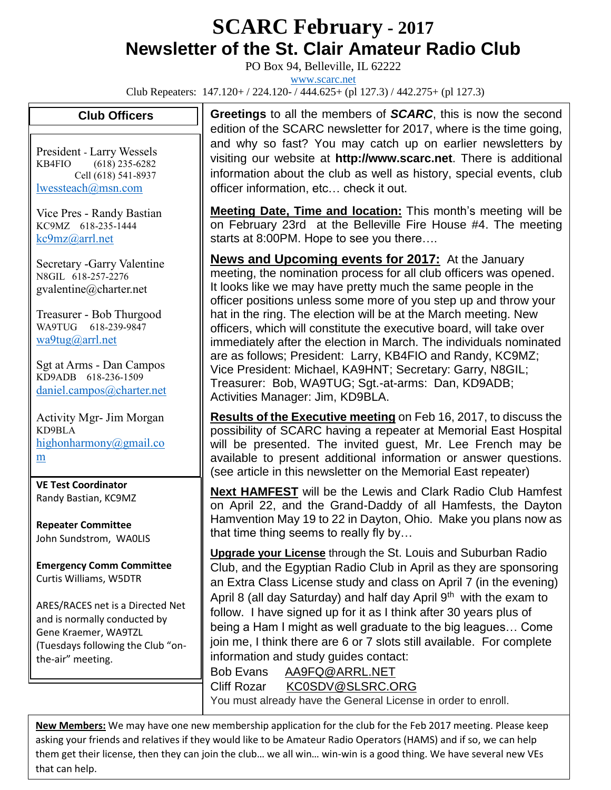## **SCARC February - <sup>2017</sup> Newsletter of the St. Clair Amateur Radio Club**

PO Box 94, Belleville, IL 62222

[www.scarc.net](http://www.scarc.net/)

Club Repeaters: 147.120+ / 224.120- / 444.625+ (pl 127.3) / 442.275+ (pl 127.3)

## **Club Officers**

President - Larry Wessels KB4FIO (618) 235-6282 Cell (618) 541-8937 [lwessteach@msn.com](mailto:lwessteach@msn.com)

Vice Pres - Randy Bastian KC9MZ 618-235-1444 [kc9mz@arrl.net](mailto:kc9mz@arrl.net)

Secretary -Garry Valentine N8GIL 618-257-2276 gvalentine@charter.net

Treasurer - Bob Thurgood WA9TUG 618-239-9847 [wa9tug@arrl.net](mailto:wa9tug@arrl.net)

Sgt at Arms - Dan Campos KD9ADB 618-236-1509 [daniel.campos@charter.net](mailto:daniel.campos@charter.net)

Activity Mgr- Jim Morgan KD9BLA [highonharmony@gmail.co](mailto:highonharmony@gmail.com) [m](mailto:highonharmony@gmail.com)

**VE Test Coordinator** Randy Bastian, KC9MZ

**Repeater Committee** John Sundstrom, WA0LIS

**Emergency Comm Committee** Curtis Williams, W5DTR

ARES/RACES net is a Directed Net and is normally conducted by Gene Kraemer, WA9TZL (Tuesdays following the Club "onthe-air" meeting.

**Greetings** to all the members of *SCARC*, this is now the second edition of the SCARC newsletter for 2017, where is the time going, and why so fast? You may catch up on earlier newsletters by visiting our website at **http://www.scarc.net**. There is additional information about the club as well as history, special events, club officer information, etc… check it out.

**Meeting Date, Time and location:** This month's meeting will be on February 23rd at the Belleville Fire House #4. The meeting starts at 8:00PM. Hope to see you there….

**News and Upcoming events for 2017:** At the January meeting, the nomination process for all club officers was opened. It looks like we may have pretty much the same people in the officer positions unless some more of you step up and throw your hat in the ring. The election will be at the March meeting. New officers, which will constitute the executive board, will take over immediately after the election in March. The individuals nominated are as follows; President: Larry, KB4FIO and Randy, KC9MZ; Vice President: Michael, KA9HNT; Secretary: Garry, N8GIL; Treasurer: Bob, WA9TUG; Sgt.-at-arms: Dan, KD9ADB; Activities Manager: Jim, KD9BLA.

**Results of the Executive meeting** on Feb 16, 2017, to discuss the possibility of SCARC having a repeater at Memorial East Hospital will be presented. The invited guest, Mr. Lee French may be available to present additional information or answer questions. (see article in this newsletter on the Memorial East repeater)

**Next HAMFEST** will be the Lewis and Clark Radio Club Hamfest on April 22, and the Grand-Daddy of all Hamfests, the Dayton Hamvention May 19 to 22 in Dayton, Ohio. Make you plans now as that time thing seems to really fly by…

**Upgrade your License** through the St. Louis and Suburban Radio Club, and the Egyptian Radio Club in April as they are sponsoring an Extra Class License study and class on April 7 (in the evening) April 8 (all day Saturday) and half day April 9<sup>th</sup> with the exam to follow. I have signed up for it as I think after 30 years plus of being a Ham I might as well graduate to the big leagues… Come join me, I think there are 6 or 7 slots still available. For complete information and study guides contact:

Bob Evans [AA9FQ@ARRL.NET](mailto:AA9FQ@ARRL.NET) Cliff Rozar [KC0SDV@SLSRC.ORG](mailto:KC0SDV@SLSRC.ORG) You must already have the General License in order to enroll.

**New Members:** We may have one new membership application for the club for the Feb 2017 meeting. Please keep asking your friends and relatives if they would like to be Amateur Radio Operators (HAMS) and if so, we can help them get their license, then they can join the club… we all win… win-win is a good thing. We have several new VEs that can help.